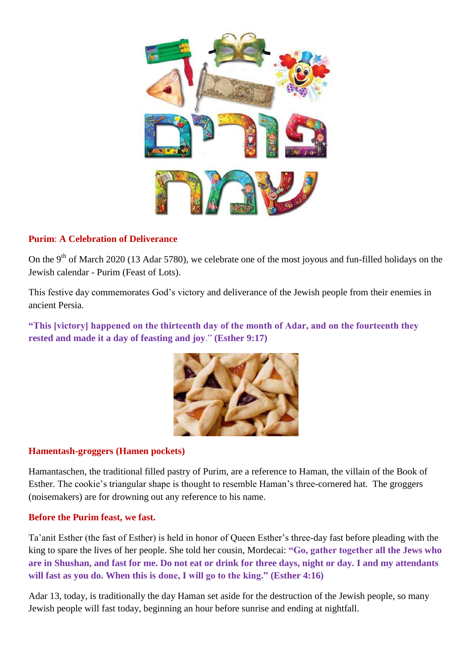

## **Purim**: **A Celebration of Deliverance**

On the 9<sup>th</sup> of March 2020 (13 Adar 5780), we celebrate one of the most joyous and fun-filled holidays on the Jewish calendar - Purim (Feast of Lots).

This festive day commemorates God's victory and deliverance of the Jewish people from their enemies in ancient Persia.

**"This [victory] happened on the thirteenth day of the month of Adar, and on the fourteenth they rested and made it a day of feasting and joy**." **(Esther 9:17)**



## **Hamentash-groggers (Hamen pockets)**

Hamantaschen, the traditional filled pastry of Purim, are a reference to Haman, the villain of the Book of Esther. The cookie's triangular shape is thought to resemble Haman's three-cornered hat. The groggers (noisemakers) are for drowning out any reference to his name.

## **Before the Purim feast, we fast.**

Ta'anit Esther (the fast of Esther) is held in honor of Queen Esther's three-day fast before pleading with the king to spare the lives of her people. She told her cousin, Mordecai: **"Go, gather together all the Jews who are in Shushan, and fast for me. Do not eat or drink for three days, night or day. I and my attendants will fast as you do. When this is done, I will go to the king." (Esther 4:16)**

Adar 13, today, is traditionally the day Haman set aside for the destruction of the Jewish people, so many Jewish people will fast today, beginning an hour before sunrise and ending at nightfall.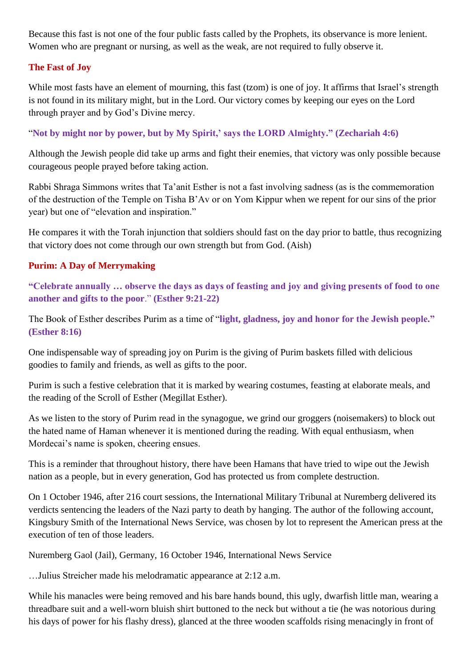Because this fast is not one of the four public fasts called by the Prophets, its observance is more lenient. Women who are pregnant or nursing, as well as the weak, are not required to fully observe it.

# **The Fast of Joy**

While most fasts have an element of mourning, this fast (tzom) is one of joy. It affirms that Israel's strength is not found in its military might, but in the Lord. Our victory comes by keeping our eyes on the Lord through prayer and by God's Divine mercy.

"**Not by might nor by power, but by My Spirit,' says the LORD Almighty." (Zechariah 4:6)**

Although the Jewish people did take up arms and fight their enemies, that victory was only possible because courageous people prayed before taking action.

Rabbi Shraga Simmons writes that Ta'anit Esther is not a fast involving sadness (as is the commemoration of the destruction of the Temple on Tisha B'Av or on Yom Kippur when we repent for our sins of the prior year) but one of "elevation and inspiration."

He compares it with the Torah injunction that soldiers should fast on the day prior to battle, thus recognizing that victory does not come through our own strength but from God. (Aish)

# **Purim: A Day of Merrymaking**

**"Celebrate annually … observe the days as days of feasting and joy and giving presents of food to one another and gifts to the poor**." **(Esther 9:21-22)**

The Book of Esther describes Purim as a time of "**light, gladness, joy and honor for the Jewish people." (Esther 8:16)**

One indispensable way of spreading joy on Purim is the giving of Purim baskets filled with delicious goodies to family and friends, as well as gifts to the poor.

Purim is such a festive celebration that it is marked by wearing costumes, feasting at elaborate meals, and the reading of the Scroll of Esther (Megillat Esther).

As we listen to the story of Purim read in the synagogue, we grind our groggers (noisemakers) to block out the hated name of Haman whenever it is mentioned during the reading. With equal enthusiasm, when Mordecai's name is spoken, cheering ensues.

This is a reminder that throughout history, there have been Hamans that have tried to wipe out the Jewish nation as a people, but in every generation, God has protected us from complete destruction.

On 1 October 1946, after 216 court sessions, the International Military Tribunal at Nuremberg delivered its verdicts sentencing the leaders of the Nazi party to death by hanging. The author of the following account, Kingsbury Smith of the International News Service, was chosen by lot to represent the American press at the execution of ten of those leaders.

Nuremberg Gaol (Jail), Germany, 16 October 1946, International News Service

…Julius Streicher made his melodramatic appearance at 2:12 a.m.

While his manacles were being removed and his bare hands bound, this ugly, dwarfish little man, wearing a threadbare suit and a well-worn bluish shirt buttoned to the neck but without a tie (he was notorious during his days of power for his flashy dress), glanced at the three wooden scaffolds rising menacingly in front of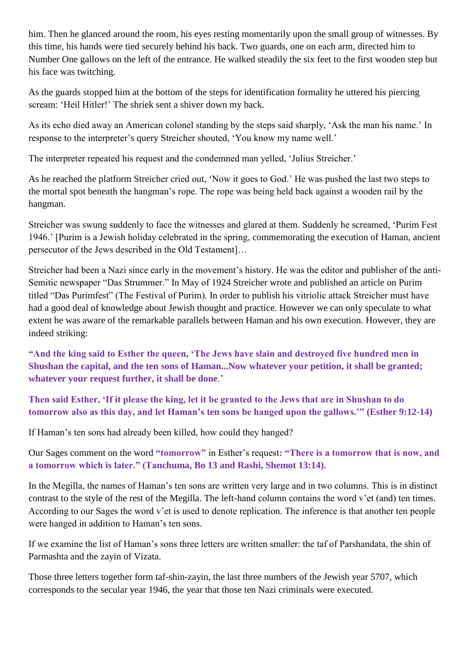him. Then he glanced around the room, his eyes resting momentarily upon the small group of witnesses. By this time, his hands were tied securely behind his back. Two guards, one on each arm, directed him to Number One gallows on the left of the entrance. He walked steadily the six feet to the first wooden step but his face was twitching.

As the guards stopped him at the bottom of the steps for identification formality he uttered his piercing scream: 'Heil Hitler!' The shriek sent a shiver down my back.

As its echo died away an American colonel standing by the steps said sharply, 'Ask the man his name.' In response to the interpreter's query Streicher shouted, 'You know my name well.'

The interpreter repeated his request and the condemned man yelled, 'Julius Streicher.'

As he reached the platform Streicher cried out, 'Now it goes to God.' He was pushed the last two steps to the mortal spot beneath the hangman's rope. The rope was being held back against a wooden rail by the hangman.

Streicher was swung suddenly to face the witnesses and glared at them. Suddenly he screamed, 'Purim Fest 1946.' [Purim is a Jewish holiday celebrated in the spring, commemorating the execution of Haman, ancient persecutor of the Jews described in the Old Testament]…

Streicher had been a Nazi since early in the movement's history. He was the editor and publisher of the anti-Semitic newspaper "Das Strummer." In May of 1924 Streicher wrote and published an article on Purim titled "Das Purimfest" (The Festival of Purim). In order to publish his vitriolic attack Streicher must have had a good deal of knowledge about Jewish thought and practice. However we can only speculate to what extent he was aware of the remarkable parallels between Haman and his own execution. However, they are indeed striking:

**"And the king said to Esther the queen, 'The Jews have slain and destroyed five hundred men in Shushan the capital, and the ten sons of Haman...Now whatever your petition, it shall be granted; whatever your request further, it shall be done**.'

**Then said Esther, 'If it please the king, let it be granted to the Jews that are in Shushan to do tomorrow also as this day, and let Haman's ten sons be hanged upon the gallows.'" (Esther 9:12-14)**

If Haman's ten sons had already been killed, how could they hanged?

Our Sages comment on the word **"tomorrow"** in Esther's request**: "There is a tomorrow that is now, and a tomorrow which is later." (Tanchuma, Bo 13 and Rashi, Shemot 13:14).**

In the Megilla, the names of Haman's ten sons are written very large and in two columns. This is in distinct contrast to the style of the rest of the Megilla. The left-hand column contains the word v'et (and) ten times. According to our Sages the word v'et is used to denote replication. The inference is that another ten people were hanged in addition to Haman's ten sons.

If we examine the list of Haman's sons three letters are written smaller: the taf of Parshandata, the shin of Parmashta and the zayin of Vizata.

Those three letters together form taf-shin-zayin, the last three numbers of the Jewish year 5707, which corresponds to the secular year 1946, the year that those ten Nazi criminals were executed.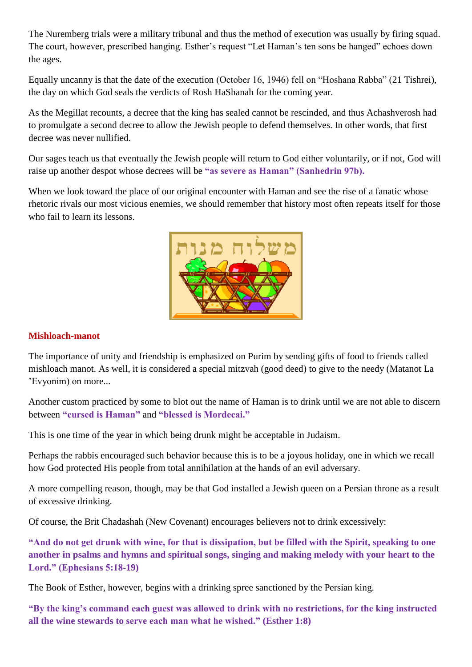The Nuremberg trials were a military tribunal and thus the method of execution was usually by firing squad. The court, however, prescribed hanging. Esther's request "Let Haman's ten sons be hanged" echoes down the ages.

Equally uncanny is that the date of the execution (October 16, 1946) fell on "Hoshana Rabba" (21 Tishrei), the day on which God seals the verdicts of Rosh HaShanah for the coming year.

As the Megillat recounts, a decree that the king has sealed cannot be rescinded, and thus Achashverosh had to promulgate a second decree to allow the Jewish people to defend themselves. In other words, that first decree was never nullified.

Our sages teach us that eventually the Jewish people will return to God either voluntarily, or if not, God will raise up another despot whose decrees will be **"as severe as Haman" (Sanhedrin 97b).**

When we look toward the place of our original encounter with Haman and see the rise of a fanatic whose rhetoric rivals our most vicious enemies, we should remember that history most often repeats itself for those who fail to learn its lessons.



## **Mishloach-manot**

The importance of unity and friendship is emphasized on Purim by sending gifts of food to friends called mishloach manot. As well, it is considered a special mitzvah (good deed) to give to the needy (Matanot La 'Evyonim) on more...

Another custom practiced by some to blot out the name of Haman is to drink until we are not able to discern between **"cursed is Haman"** and **"blessed is Mordecai."**

This is one time of the year in which being drunk might be acceptable in Judaism.

Perhaps the rabbis encouraged such behavior because this is to be a joyous holiday, one in which we recall how God protected His people from total annihilation at the hands of an evil adversary.

A more compelling reason, though, may be that God installed a Jewish queen on a Persian throne as a result of excessive drinking.

Of course, the Brit Chadashah (New Covenant) encourages believers not to drink excessively:

**"And do not get drunk with wine, for that is dissipation, but be filled with the Spirit, speaking to one another in psalms and hymns and spiritual songs, singing and making melody with your heart to the Lord." (Ephesians 5:18-19)**

The Book of Esther, however, begins with a drinking spree sanctioned by the Persian king.

**"By the king's command each guest was allowed to drink with no restrictions, for the king instructed all the wine stewards to serve each man what he wished." (Esther 1:8)**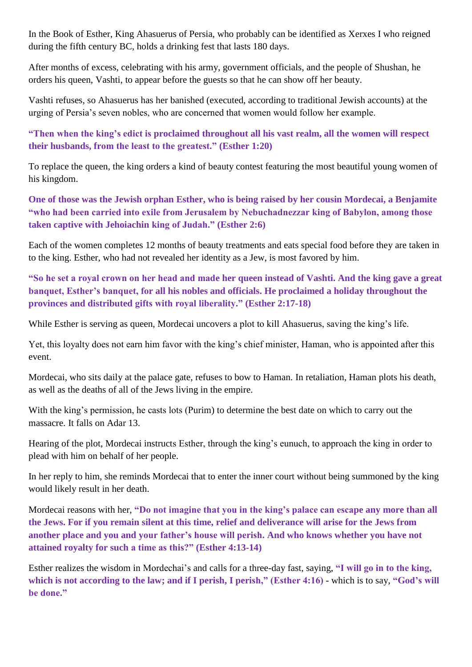In the Book of Esther, King Ahasuerus of Persia, who probably can be identified as Xerxes I who reigned during the fifth century BC, holds a drinking fest that lasts 180 days.

After months of excess, celebrating with his army, government officials, and the people of Shushan, he orders his queen, Vashti, to appear before the guests so that he can show off her beauty.

Vashti refuses, so Ahasuerus has her banished (executed, according to traditional Jewish accounts) at the urging of Persia's seven nobles, who are concerned that women would follow her example.

**"Then when the king's edict is proclaimed throughout all his vast realm, all the women will respect their husbands, from the least to the greatest." (Esther 1:20)**

To replace the queen, the king orders a kind of beauty contest featuring the most beautiful young women of his kingdom.

**One of those was the Jewish orphan Esther, who is being raised by her cousin Mordecai, a Benjamite "who had been carried into exile from Jerusalem by Nebuchadnezzar king of Babylon, among those taken captive with Jehoiachin king of Judah." (Esther 2:6)**

Each of the women completes 12 months of beauty treatments and eats special food before they are taken in to the king. Esther, who had not revealed her identity as a Jew, is most favored by him.

**"So he set a royal crown on her head and made her queen instead of Vashti. And the king gave a great banquet, Esther's banquet, for all his nobles and officials. He proclaimed a holiday throughout the provinces and distributed gifts with royal liberality." (Esther 2:17-18)**

While Esther is serving as queen, Mordecai uncovers a plot to kill Ahasuerus, saving the king's life.

Yet, this loyalty does not earn him favor with the king's chief minister, Haman, who is appointed after this event.

Mordecai, who sits daily at the palace gate, refuses to bow to Haman. In retaliation, Haman plots his death, as well as the deaths of all of the Jews living in the empire.

With the king's permission, he casts lots (Purim) to determine the best date on which to carry out the massacre. It falls on Adar 13.

Hearing of the plot, Mordecai instructs Esther, through the king's eunuch, to approach the king in order to plead with him on behalf of her people.

In her reply to him, she reminds Mordecai that to enter the inner court without being summoned by the king would likely result in her death.

Mordecai reasons with her, **"Do not imagine that you in the king's palace can escape any more than all the Jews. For if you remain silent at this time, relief and deliverance will arise for the Jews from another place and you and your father's house will perish. And who knows whether you have not attained royalty for such a time as this?" (Esther 4:13-14)**

Esther realizes the wisdom in Mordechai's and calls for a three-day fast, saying, **"I will go in to the king,**  which is not according to the law; and if I perish, I perish," (Esther 4:16) - which is to say, "God's will **be done."**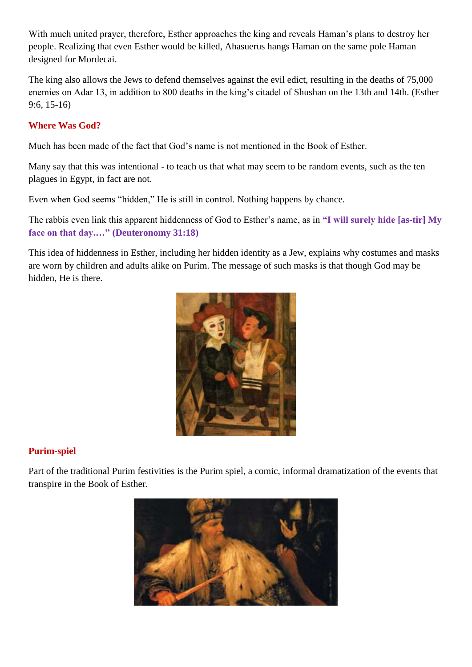With much united prayer, therefore, Esther approaches the king and reveals Haman's plans to destroy her people. Realizing that even Esther would be killed, Ahasuerus hangs Haman on the same pole Haman designed for Mordecai.

The king also allows the Jews to defend themselves against the evil edict, resulting in the deaths of 75,000 enemies on Adar 13, in addition to 800 deaths in the king's citadel of Shushan on the 13th and 14th. (Esther 9:6, 15-16)

## **Where Was God?**

Much has been made of the fact that God's name is not mentioned in the Book of Esther.

Many say that this was intentional - to teach us that what may seem to be random events, such as the ten plagues in Egypt, in fact are not.

Even when God seems "hidden," He is still in control. Nothing happens by chance.

The rabbis even link this apparent hiddenness of God to Esther's name, as in **"I will surely hide [as-tir] My face on that day.…" (Deuteronomy 31:18)**

This idea of hiddenness in Esther, including her hidden identity as a Jew, explains why costumes and masks are worn by children and adults alike on Purim. The message of such masks is that though God may be hidden, He is there.



## **Purim-spiel**

Part of the traditional Purim festivities is the Purim spiel, a comic, informal dramatization of the events that transpire in the Book of Esther.

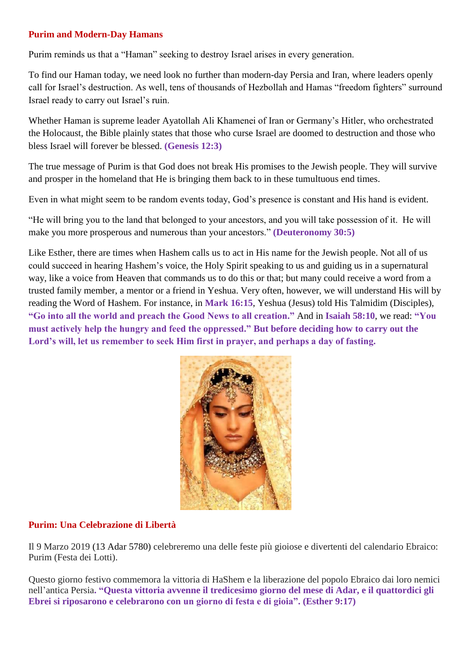### **Purim and Modern-Day Hamans**

Purim reminds us that a "Haman" seeking to destroy Israel arises in every generation.

To find our Haman today, we need look no further than modern-day Persia and Iran, where leaders openly call for Israel's destruction. As well, tens of thousands of Hezbollah and Hamas "freedom fighters" surround Israel ready to carry out Israel's ruin.

Whether Haman is supreme leader Ayatollah Ali Khamenei of Iran or Germany's Hitler, who orchestrated the Holocaust, the Bible plainly states that those who curse Israel are doomed to destruction and those who bless Israel will forever be blessed. **(Genesis 12:3)**

The true message of Purim is that God does not break His promises to the Jewish people. They will survive and prosper in the homeland that He is bringing them back to in these tumultuous end times.

Even in what might seem to be random events today, God's presence is constant and His hand is evident.

"He will bring you to the land that belonged to your ancestors, and you will take possession of it. He will make you more prosperous and numerous than your ancestors." **(Deuteronomy 30:5)**

Like Esther, there are times when Hashem calls us to act in His name for the Jewish people. Not all of us could succeed in hearing Hashem's voice, the Holy Spirit speaking to us and guiding us in a supernatural way, like a voice from Heaven that commands us to do this or that; but many could receive a word from a trusted family member, a mentor or a friend in Yeshua. Very often, however, we will understand His will by reading the Word of Hashem. For instance, in **Mark 16:15**, Yeshua (Jesus) told His Talmidim (Disciples), **"Go into all the world and preach the Good News to all creation."** And in **Isaiah 58:10**, we read: **"You must actively help the hungry and feed the oppressed." But before deciding how to carry out the Lord's will, let us remember to seek Him first in prayer, and perhaps a day of fasting.**



## **Purim: Una Celebrazione di Libertà**

Il 9 Marzo 2019 (13 Adar 5780) celebreremo una delle feste più gioiose e divertenti del calendario Ebraico: Purim (Festa dei Lotti).

Questo giorno festivo commemora la vittoria di HaShem e la liberazione del popolo Ebraico dai loro nemici nell'antica Persia**. "Questa vittoria avvenne il tredicesimo giorno del mese di Adar, e il quattordici gli Ebrei si riposarono e celebrarono con un giorno di festa e di gioia". (Esther 9:17)**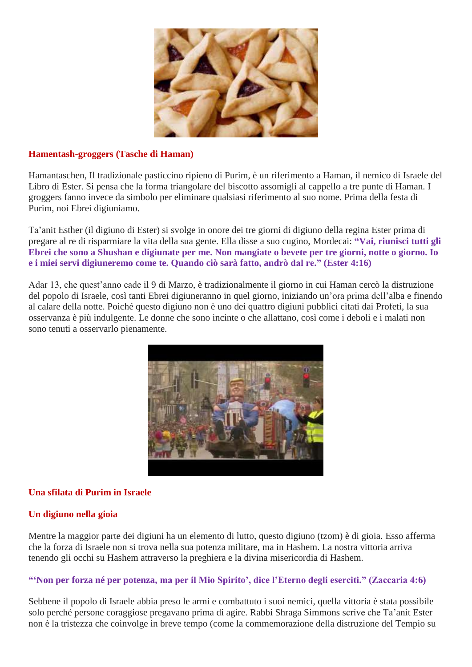

### **Hamentash-groggers (Tasche di Haman)**

Hamantaschen, Il tradizionale pasticcino ripieno di Purim, è un riferimento a Haman, il nemico di Israele del Libro di Ester. Si pensa che la forma triangolare del biscotto assomigli al cappello a tre punte di Haman. I groggers fanno invece da simbolo per eliminare qualsiasi riferimento al suo nome. Prima della festa di Purim, noi Ebrei digiuniamo.

Ta'anit Esther (il digiuno di Ester) si svolge in onore dei tre giorni di digiuno della regina Ester prima di pregare al re di risparmiare la vita della sua gente. Ella disse a suo cugino, Mordecai: **"Vai, riunisci tutti gli Ebrei che sono a Shushan e digiunate per me. Non mangiate o bevete per tre giorni, notte o giorno. Io e i miei servi digiuneremo come te. Quando ciò sarà fatto, andrò dal re." (Ester 4:16)**

Adar 13, che quest'anno cade il 9 di Marzo, è tradizionalmente il giorno in cui Haman cercò la distruzione del popolo di Israele, così tanti Ebrei digiuneranno in quel giorno, iniziando un'ora prima dell'alba e finendo al calare della notte. Poiché questo digiuno non è uno dei quattro digiuni pubblici citati dai Profeti, la sua osservanza è più indulgente. Le donne che sono incinte o che allattano, così come i deboli e i malati non sono tenuti a osservarlo pienamente.



## **Una sfilata di Purim in Israele**

## **Un digiuno nella gioia**

Mentre la maggior parte dei digiuni ha un elemento di lutto, questo digiuno (tzom) è di gioia. Esso afferma che la forza di Israele non si trova nella sua potenza militare, ma in Hashem. La nostra vittoria arriva tenendo gli occhi su Hashem attraverso la preghiera e la divina misericordia di Hashem.

## **"'Non per forza né per potenza, ma per il Mio Spirito', dice l'Eterno degli eserciti." (Zaccaria 4:6)**

Sebbene il popolo di Israele abbia preso le armi e combattuto i suoi nemici, quella vittoria è stata possibile solo perché persone coraggiose pregavano prima di agire. Rabbi Shraga Simmons scrive che Ta'anit Ester non è la tristezza che coinvolge in breve tempo (come la commemorazione della distruzione del Tempio su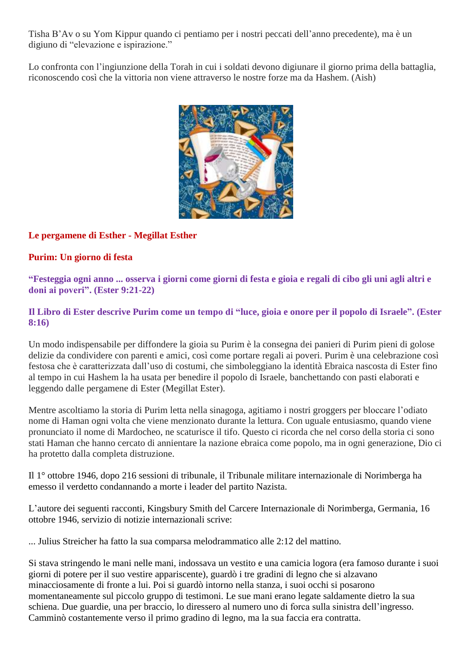Tisha B'Av o su Yom Kippur quando ci pentiamo per i nostri peccati dell'anno precedente), ma è un digiuno di "elevazione e ispirazione."

Lo confronta con l'ingiunzione della Torah in cui i soldati devono digiunare il giorno prima della battaglia, riconoscendo così che la vittoria non viene attraverso le nostre forze ma da Hashem. (Aish)



# **Le pergamene di Esther - Megillat Esther**

## **Purim: Un giorno di festa**

**"Festeggia ogni anno ... osserva i giorni come giorni di festa e gioia e regali di cibo gli uni agli altri e doni ai poveri". (Ester 9:21-22)**

## **Il Libro di Ester descrive Purim come un tempo di "luce, gioia e onore per il popolo di Israele". (Ester 8:16)**

Un modo indispensabile per diffondere la gioia su Purim è la consegna dei panieri di Purim pieni di golose delizie da condividere con parenti e amici, così come portare regali ai poveri. Purim è una celebrazione così festosa che è caratterizzata dall'uso di costumi, che simboleggiano la identità Ebraica nascosta di Ester fino al tempo in cui Hashem la ha usata per benedire il popolo di Israele, banchettando con pasti elaborati e leggendo dalle pergamene di Ester (Megillat Ester).

Mentre ascoltiamo la storia di Purim letta nella sinagoga, agitiamo i nostri groggers per bloccare l'odiato nome di Haman ogni volta che viene menzionato durante la lettura. Con uguale entusiasmo, quando viene pronunciato il nome di Mardocheo, ne scaturisce il tifo. Questo ci ricorda che nel corso della storia ci sono stati Haman che hanno cercato di annientare la nazione ebraica come popolo, ma in ogni generazione, Dio ci ha protetto dalla completa distruzione.

Il 1° ottobre 1946, dopo 216 sessioni di tribunale, il Tribunale militare internazionale di Norimberga ha emesso il verdetto condannando a morte i leader del partito Nazista.

L'autore dei seguenti racconti, Kingsbury Smith del Carcere Internazionale di Norimberga, Germania, 16 ottobre 1946, servizio di notizie internazionali scrive:

... Julius Streicher ha fatto la sua comparsa melodrammatico alle 2:12 del mattino.

Si stava stringendo le mani nelle mani, indossava un vestito e una camicia logora (era famoso durante i suoi giorni di potere per il suo vestire appariscente), guardò i tre gradini di legno che si alzavano minacciosamente di fronte a lui. Poi si guardò intorno nella stanza, i suoi occhi si posarono momentaneamente sul piccolo gruppo di testimoni. Le sue mani erano legate saldamente dietro la sua schiena. Due guardie, una per braccio, lo diressero al numero uno di forca sulla sinistra dell'ingresso. Camminò costantemente verso il primo gradino di legno, ma la sua faccia era contratta.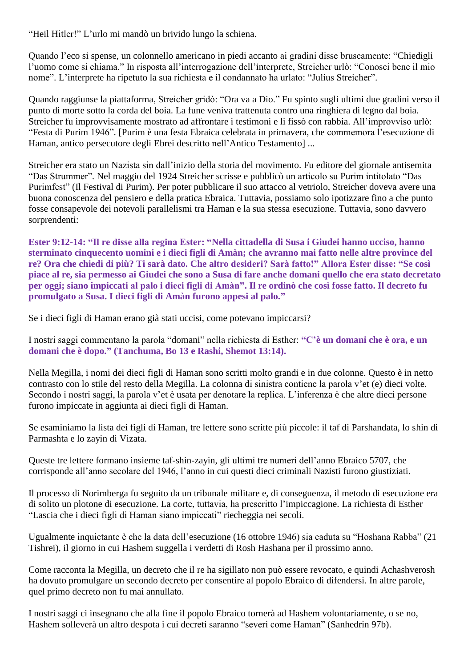"Heil Hitler!" L'urlo mi mandò un brivido lungo la schiena.

Quando l'eco si spense, un colonnello americano in piedi accanto ai gradini disse bruscamente: "Chiedigli l'uomo come si chiama." In risposta all'interrogazione dell'interprete, Streicher urlò: "Conosci bene il mio nome". L'interprete ha ripetuto la sua richiesta e il condannato ha urlato: "Julius Streicher".

Quando raggiunse la piattaforma, Streicher gridò: "Ora va a Dio." Fu spinto sugli ultimi due gradini verso il punto di morte sotto la corda del boia. La fune veniva trattenuta contro una ringhiera di legno dal boia. Streicher fu improvvisamente mostrato ad affrontare i testimoni e li fissò con rabbia. All'improvviso urlò: "Festa di Purim 1946". [Purim è una festa Ebraica celebrata in primavera, che commemora l'esecuzione di Haman, antico persecutore degli Ebrei descritto nell'Antico Testamento] ...

Streicher era stato un Nazista sin dall'inizio della storia del movimento. Fu editore del giornale antisemita "Das Strummer". Nel maggio del 1924 Streicher scrisse e pubblicò un articolo su Purim intitolato "Das Purimfest" (Il Festival di Purim). Per poter pubblicare il suo attacco al vetriolo, Streicher doveva avere una buona conoscenza del pensiero e della pratica Ebraica. Tuttavia, possiamo solo ipotizzare fino a che punto fosse consapevole dei notevoli parallelismi tra Haman e la sua stessa esecuzione. Tuttavia, sono davvero sorprendenti:

**Ester 9:12-14: "Il re disse alla regina Ester: "Nella cittadella di Susa i Giudei hanno ucciso, hanno sterminato cinquecento uomini e i dieci figli di Amàn; che avranno mai fatto nelle altre province del re? Ora che chiedi di più? Ti sarà dato. Che altro desideri? Sarà fatto!" Allora Ester disse: "Se così piace al re, sia permesso ai Giudei che sono a Susa di fare anche domani quello che era stato decretato per oggi; siano impiccati al palo i dieci figli di Amàn". Il re ordinò che così fosse fatto. Il decreto fu promulgato a Susa. I dieci figli di Amàn furono appesi al palo."**

Se i dieci figli di Haman erano già stati uccisi, come potevano impiccarsi?

I nostri saggi commentano la parola "domani" nella richiesta di Esther: **"C'è un domani che è ora, e un domani che è dopo." (Tanchuma, Bo 13 e Rashi, Shemot 13:14).**

Nella Megilla, i nomi dei dieci figli di Haman sono scritti molto grandi e in due colonne. Questo è in netto contrasto con lo stile del resto della Megilla. La colonna di sinistra contiene la parola v'et (e) dieci volte. Secondo i nostri saggi, la parola v'et è usata per denotare la replica. L'inferenza è che altre dieci persone furono impiccate in aggiunta ai dieci figli di Haman.

Se esaminiamo la lista dei figli di Haman, tre lettere sono scritte più piccole: il taf di Parshandata, lo shin di Parmashta e lo zayin di Vizata.

Queste tre lettere formano insieme taf-shin-zayin, gli ultimi tre numeri dell'anno Ebraico 5707, che corrisponde all'anno secolare del 1946, l'anno in cui questi dieci criminali Nazisti furono giustiziati.

Il processo di Norimberga fu seguito da un tribunale militare e, di conseguenza, il metodo di esecuzione era di solito un plotone di esecuzione. La corte, tuttavia, ha prescritto l'impiccagione. La richiesta di Esther "Lascia che i dieci figli di Haman siano impiccati" riecheggia nei secoli.

Ugualmente inquietante è che la data dell'esecuzione (16 ottobre 1946) sia caduta su "Hoshana Rabba" (21 Tishrei), il giorno in cui Hashem suggella i verdetti di Rosh Hashana per il prossimo anno.

Come racconta la Megilla, un decreto che il re ha sigillato non può essere revocato, e quindi Achashverosh ha dovuto promulgare un secondo decreto per consentire al popolo Ebraico di difendersi. In altre parole, quel primo decreto non fu mai annullato.

I nostri saggi ci insegnano che alla fine il popolo Ebraico tornerà ad Hashem volontariamente, o se no, Hashem solleverà un altro despota i cui decreti saranno "severi come Haman" (Sanhedrin 97b).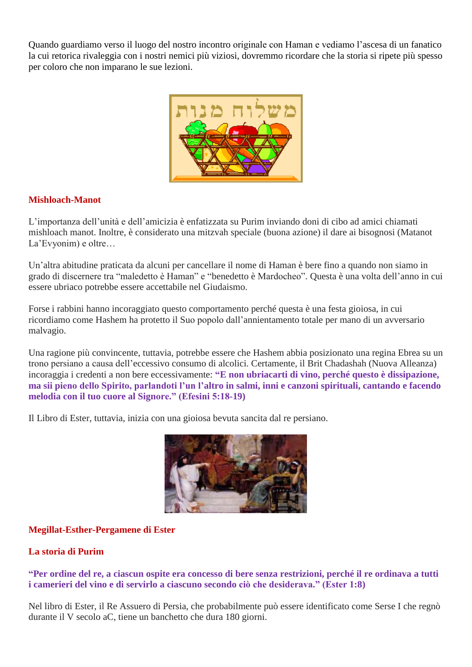Quando guardiamo verso il luogo del nostro incontro originale con Haman e vediamo l'ascesa di un fanatico la cui retorica rivaleggia con i nostri nemici più viziosi, dovremmo ricordare che la storia si ripete più spesso per coloro che non imparano le sue lezioni.



## **Mishloach-Manot**

L'importanza dell'unità e dell'amicizia è enfatizzata su Purim inviando doni di cibo ad amici chiamati mishloach manot. Inoltre, è considerato una mitzvah speciale (buona azione) il dare ai bisognosi (Matanot La'Evyonim) e oltre…

Un'altra abitudine praticata da alcuni per cancellare il nome di Haman è bere fino a quando non siamo in grado di discernere tra "maledetto è Haman" e "benedetto è Mardocheo". Questa è una volta dell'anno in cui essere ubriaco potrebbe essere accettabile nel Giudaismo.

Forse i rabbini hanno incoraggiato questo comportamento perché questa è una festa gioiosa, in cui ricordiamo come Hashem ha protetto il Suo popolo dall'annientamento totale per mano di un avversario malvagio.

Una ragione più convincente, tuttavia, potrebbe essere che Hashem abbia posizionato una regina Ebrea su un trono persiano a causa dell'eccessivo consumo di alcolici. Certamente, il Brit Chadashah (Nuova Alleanza) incoraggia i credenti a non bere eccessivamente: **"E non ubriacarti di vino, perché questo è dissipazione, ma sii pieno dello Spirito, parlandoti l'un l'altro in salmi, inni e canzoni spirituali, cantando e facendo melodia con il tuo cuore al Signore." (Efesini 5:18-19)**

Il Libro di Ester, tuttavia, inizia con una gioiosa bevuta sancita dal re persiano.



## **Megillat-Esther-Pergamene di Ester**

## **La storia di Purim**

**"Per ordine del re, a ciascun ospite era concesso di bere senza restrizioni, perché il re ordinava a tutti i camerieri del vino e di servirlo a ciascuno secondo ciò che desiderava." (Ester 1:8)**

Nel libro di Ester, il Re Assuero di Persia, che probabilmente può essere identificato come Serse I che regnò durante il V secolo aC, tiene un banchetto che dura 180 giorni.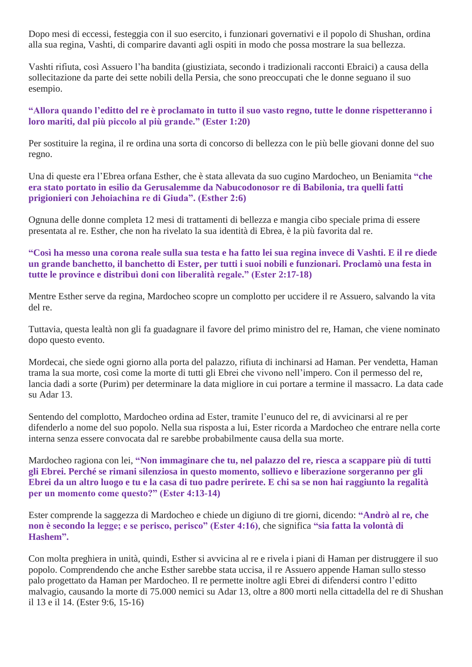Dopo mesi di eccessi, festeggia con il suo esercito, i funzionari governativi e il popolo di Shushan, ordina alla sua regina, Vashti, di comparire davanti agli ospiti in modo che possa mostrare la sua bellezza.

Vashti rifiuta, così Assuero l'ha bandita (giustiziata, secondo i tradizionali racconti Ebraici) a causa della sollecitazione da parte dei sette nobili della Persia, che sono preoccupati che le donne seguano il suo esempio.

### **"Allora quando l'editto del re è proclamato in tutto il suo vasto regno, tutte le donne rispetteranno i loro mariti, dal più piccolo al più grande." (Ester 1:20)**

Per sostituire la regina, il re ordina una sorta di concorso di bellezza con le più belle giovani donne del suo regno.

Una di queste era l'Ebrea orfana Esther, che è stata allevata da suo cugino Mardocheo, un Beniamita **"che era stato portato in esilio da Gerusalemme da Nabucodonosor re di Babilonia, tra quelli fatti prigionieri con Jehoiachina re di Giuda". (Esther 2:6)**

Ognuna delle donne completa 12 mesi di trattamenti di bellezza e mangia cibo speciale prima di essere presentata al re. Esther, che non ha rivelato la sua identità di Ebrea, è la più favorita dal re.

## **"Così ha messo una corona reale sulla sua testa e ha fatto lei sua regina invece di Vashti. E il re diede un grande banchetto, il banchetto di Ester, per tutti i suoi nobili e funzionari. Proclamò una festa in tutte le province e distribuì doni con liberalità regale." (Ester 2:17-18)**

Mentre Esther serve da regina, Mardocheo scopre un complotto per uccidere il re Assuero, salvando la vita del re.

Tuttavia, questa lealtà non gli fa guadagnare il favore del primo ministro del re, Haman, che viene nominato dopo questo evento.

Mordecai, che siede ogni giorno alla porta del palazzo, rifiuta di inchinarsi ad Haman. Per vendetta, Haman trama la sua morte, così come la morte di tutti gli Ebrei che vivono nell'impero. Con il permesso del re, lancia dadi a sorte (Purim) per determinare la data migliore in cui portare a termine il massacro. La data cade su Adar 13.

Sentendo del complotto, Mardocheo ordina ad Ester, tramite l'eunuco del re, di avvicinarsi al re per difenderlo a nome del suo popolo. Nella sua risposta a lui, Ester ricorda a Mardocheo che entrare nella corte interna senza essere convocata dal re sarebbe probabilmente causa della sua morte.

Mardocheo ragiona con lei, **"Non immaginare che tu, nel palazzo del re, riesca a scappare più di tutti gli Ebrei. Perché se rimani silenziosa in questo momento, sollievo e liberazione sorgeranno per gli Ebrei da un altro luogo e tu e la casa di tuo padre perirete. E chi sa se non hai raggiunto la regalità per un momento come questo?" (Ester 4:13-14)**

Ester comprende la saggezza di Mardocheo e chiede un digiuno di tre giorni, dicendo: **"Andrò al re, che non è secondo la legge; e se perisco, perisco" (Ester 4:16)**, che significa **"sia fatta la volontà di Hashem".**

Con molta preghiera in unità, quindi, Esther si avvicina al re e rivela i piani di Haman per distruggere il suo popolo. Comprendendo che anche Esther sarebbe stata uccisa, il re Assuero appende Haman sullo stesso palo progettato da Haman per Mardocheo. Il re permette inoltre agli Ebrei di difendersi contro l'editto malvagio, causando la morte di 75.000 nemici su Adar 13, oltre a 800 morti nella cittadella del re di Shushan il 13 e il 14. (Ester 9:6, 15-16)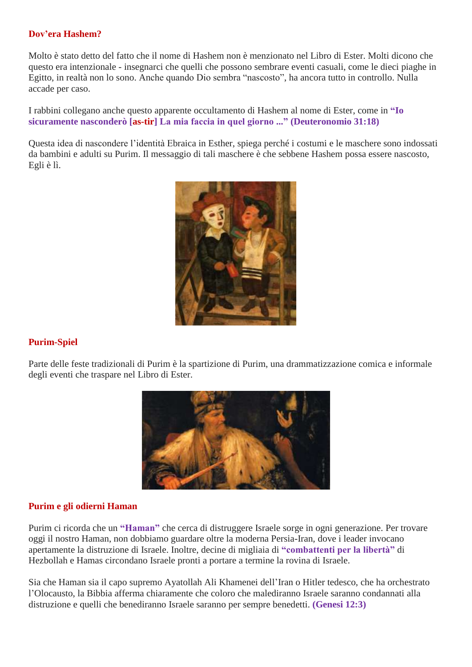### **Dov'era Hashem?**

Molto è stato detto del fatto che il nome di Hashem non è menzionato nel Libro di Ester. Molti dicono che questo era intenzionale - insegnarci che quelli che possono sembrare eventi casuali, come le dieci piaghe in Egitto, in realtà non lo sono. Anche quando Dio sembra "nascosto", ha ancora tutto in controllo. Nulla accade per caso.

I rabbini collegano anche questo apparente occultamento di Hashem al nome di Ester, come in **"Io sicuramente nasconderò [as-tir] La mia faccia in quel giorno ..." (Deuteronomio 31:18)**

Questa idea di nascondere l'identità Ebraica in Esther, spiega perché i costumi e le maschere sono indossati da bambini e adulti su Purim. Il messaggio di tali maschere è che sebbene Hashem possa essere nascosto, Egli è lì.



## **Purim-Spiel**

Parte delle feste tradizionali di Purim è la spartizione di Purim, una drammatizzazione comica e informale degli eventi che traspare nel Libro di Ester.



### **Purim e gli odierni Haman**

Purim ci ricorda che un **"Haman"** che cerca di distruggere Israele sorge in ogni generazione. Per trovare oggi il nostro Haman, non dobbiamo guardare oltre la moderna Persia-Iran, dove i leader invocano apertamente la distruzione di Israele. Inoltre, decine di migliaia di **"combattenti per la libertà"** di Hezbollah e Hamas circondano Israele pronti a portare a termine la rovina di Israele.

Sia che Haman sia il capo supremo Ayatollah Ali Khamenei dell'Iran o Hitler tedesco, che ha orchestrato l'Olocausto, la Bibbia afferma chiaramente che coloro che malediranno Israele saranno condannati alla distruzione e quelli che benediranno Israele saranno per sempre benedetti. **(Genesi 12:3)**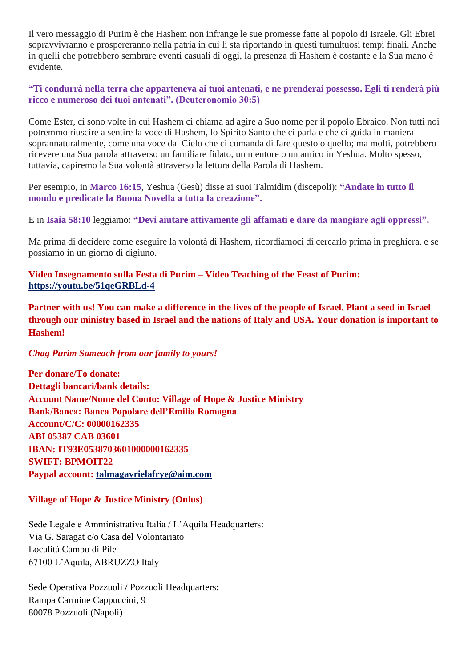Il vero messaggio di Purim è che Hashem non infrange le sue promesse fatte al popolo di Israele. Gli Ebrei sopravvivranno e prospereranno nella patria in cui li sta riportando in questi tumultuosi tempi finali. Anche in quelli che potrebbero sembrare eventi casuali di oggi, la presenza di Hashem è costante e la Sua mano è evidente.

**"Ti condurrà nella terra che apparteneva ai tuoi antenati, e ne prenderai possesso. Egli ti renderà più ricco e numeroso dei tuoi antenati". (Deuteronomio 30:5)** 

Come Ester, ci sono volte in cui Hashem ci chiama ad agire a Suo nome per il popolo Ebraico. Non tutti noi potremmo riuscire a sentire la voce di Hashem, lo Spirito Santo che ci parla e che ci guida in maniera soprannaturalmente, come una voce dal Cielo che ci comanda di fare questo o quello; ma molti, potrebbero ricevere una Sua parola attraverso un familiare fidato, un mentore o un amico in Yeshua. Molto spesso, tuttavia, capiremo la Sua volontà attraverso la lettura della Parola di Hashem.

Per esempio, in **Marco 16:15**, Yeshua (Gesù) disse ai suoi Talmidim (discepoli): **"Andate in tutto il mondo e predicate la Buona Novella a tutta la creazione".**

E in **Isaia 58:10** leggiamo: **"Devi aiutare attivamente gli affamati e dare da mangiare agli oppressi".**

Ma prima di decidere come eseguire la volontà di Hashem, ricordiamoci di cercarlo prima in preghiera, e se possiamo in un giorno di digiuno.

**Video Insegnamento sulla Festa di Purim – Video Teaching of the Feast of Purim: <https://youtu.be/51qeGRBLd-4>**

**Partner with us! You can make a difference in the lives of the people of Israel. Plant a seed in Israel through our ministry based in Israel and the nations of Italy and USA. Your donation is important to Hashem!** 

### *Chag Purim Sameach from our family to yours!*

**Per donare/To donate: Dettagli bancari/bank details: Account Name/Nome del Conto: Village of Hope & Justice Ministry Bank/Banca: Banca Popolare dell'Emilia Romagna Account/C/C: 00000162335 ABI 05387 CAB 03601 IBAN: IT93E0538703601000000162335 SWIFT: BPMOIT22 Paypal account: [talmagavrielafrye@aim.com](mailto:talmagavrielafrye@aim.com)**

## **Village of Hope & Justice Ministry (Onlus)**

Sede Legale e Amministrativa Italia / L'Aquila Headquarters: Via G. Saragat c/o Casa del Volontariato Località Campo di Pile 67100 L'Aquila, ABRUZZO Italy

Sede Operativa Pozzuoli / Pozzuoli Headquarters: Rampa Carmine Cappuccini, 9 80078 Pozzuoli (Napoli)